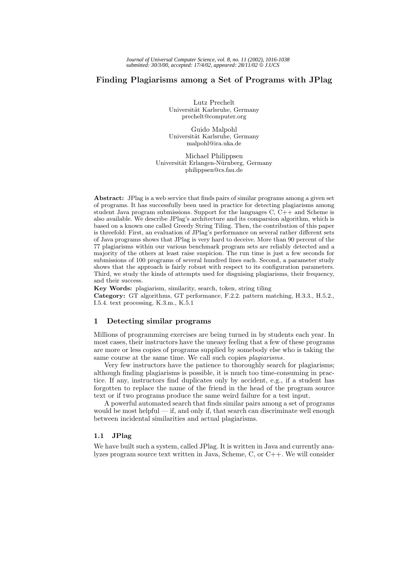# **Finding Plagiarisms among a Set of Programs with JPlag**

Lutz Prechelt Universität Karlsruhe, Germany prechelt@computer.org

Guido Malpohl Universität Karlsruhe, Germany malpohl@ira.uka.de

Michael Philippsen Universität Erlangen-Nürnberg, Germany philippsen@cs.fau.de

**Abstract:** JPlag is a web service that finds pairs of similar programs among a given set of programs. It has successfully been used in practice for detecting plagiarisms among student Java program submissions. Support for the languages  $C, C++$  and Scheme is also available. We describe JPlag's architecture and its comparsion algorithm, which is based on a known one called Greedy String Tiling. Then, the contribution of this paper is threefold: First, an evaluation of JPlag's performance on several rather different sets of Java programs shows that JPlag is very hard to deceive. More than 90 percent of the 77 plagiarisms within our various benchmark program sets are reliably detected and a majority of the others at least raise suspicion. The run time is just a few seconds for submissions of 100 programs of several hundred lines each. Second, a parameter study shows that the approach is fairly robust with respect to its configuration parameters. Third, we study the kinds of attempts used for disguising plagiarisms, their frequency, and their success.

**Key Words:** plagiarism, similarity, search, token, string tiling **Category:** GT algorithms, GT performance, F.2.2. pattern matching, H.3.3., H.5.2., I.5.4. text processing, K.3.m., K.5.1

# **1 Detecting similar programs**

Millions of programming exercises are being turned in by students each year. In most cases, their instructors have the uneasy feeling that a few of these programs are more or less copies of programs supplied by somebody else who is taking the same course at the same time. We call such copies *plagiarisms*.

Very few instructors have the patience to thoroughly search for plagiarisms; although finding plagiarisms is possible, it is much too time-consuming in practice. If any, instructors find duplicates only by accident, e.g., if a student has forgotten to replace the name of the friend in the head of the program source text or if two programs produce the same weird failure for a test input.

A powerful automated search that finds similar pairs among a set of programs would be most helpful — if, and only if, that search can discriminate well enough between incidental similarities and actual plagiarisms.

# **1.1 JPlag**

We have built such a system, called JPlag. It is written in Java and currently analyzes program source text written in Java, Scheme, C, or C++. We will consider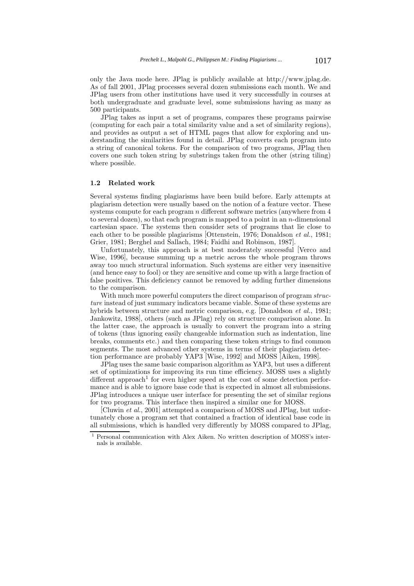only the Java mode here. JPlag is publicly available at http://www.jplag.de. As of fall 2001, JPlag processes several dozen submissions each month. We and JPlag users from other institutions have used it very successfully in courses at both undergraduate and graduate level, some submissions having as many as 500 participants.

JPlag takes as input a set of programs, compares these programs pairwise (computing for each pair a total similarity value and a set of similarity regions), and provides as output a set of HTML pages that allow for exploring and understanding the similarities found in detail. JPlag converts each program into a string of canonical tokens. For the comparison of two programs, JPlag then covers one such token string by substrings taken from the other (string tiling) where possible.

#### **1.2 Related work**

Several systems finding plagiarisms have been build before. Early attempts at plagiarism detection were usually based on the notion of a feature vector. These systems compute for each program  $n$  different software metrics (anywhere from  $4$ to several dozen), so that each program is mapped to a point in an  $n$ -dimensional cartesian space. The systems then consider sets of programs that lie close to each other to be possible plagiarisms [Ottenstein, 1976; Donaldson *et al.*, 1981; Grier, 1981; Berghel and Sallach, 1984; Faidhi and Robinson, 1987].

Unfortunately, this approach is at best moderately successful [Verco and Wise, 1996], because summing up a metric across the whole program throws away too much structural information. Such systems are either very insensitive (and hence easy to fool) or they are sensitive and come up with a large fraction of false positives. This deficiency cannot be removed by adding further dimensions to the comparison.

With much more powerful computers the direct comparison of program *structure* instead of just summary indicators became viable. Some of these systems are hybrids between structure and metric comparison, e.g. [Donaldson *et al.*, 1981; Jankowitz, 1988], others (such as JPlag) rely on structure comparison alone. In the latter case, the approach is usually to convert the program into a string of tokens (thus ignoring easily changeable information such as indentation, line breaks, comments etc.) and then comparing these token strings to find common segments. The most advanced other systems in terms of their plagiarism detection performance are probably YAP3 [Wise, 1992] and MOSS [Aiken, 1998].

JPlag uses the same basic comparison algorithm as YAP3, but uses a different set of optimizations for improving its run time efficiency. MOSS uses a slightly different approach<sup>1</sup> for even higher speed at the cost of some detection performance and is able to ignore base code that is expected in almost all submissions. JPlag introduces a unique user interface for presenting the set of similar regions for two programs. This interface then inspired a similar one for MOSS.

[Cluwin *et al.*, 2001] attempted a comparison of MOSS and JPlag, but unfortunately chose a program set that contained a fraction of identical base code in all submissions, which is handled very differently by MOSS compared to JPlag,

<sup>1</sup> Personal communication with Alex Aiken. No written description of MOSS's internals is available.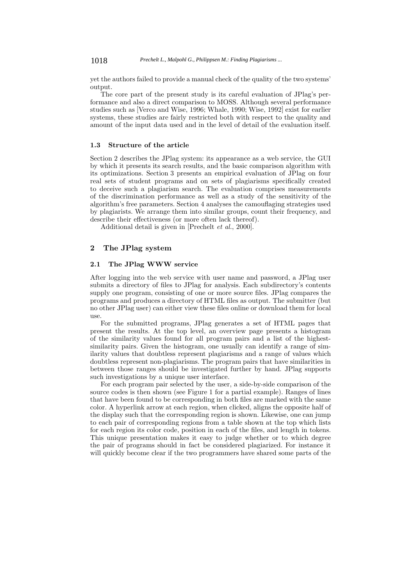1018 *Prechelt L., Malpohl G., Philippsen M.: Finding Plagiarisms ...*

yet the authors failed to provide a manual check of the quality of the two systems' output.

The core part of the present study is its careful evaluation of JPlag's performance and also a direct comparison to MOSS. Although several performance studies such as [Verco and Wise, 1996; Whale, 1990; Wise, 1992] exist for earlier systems, these studies are fairly restricted both with respect to the quality and amount of the input data used and in the level of detail of the evaluation itself.

## **1.3 Structure of the article**

Section 2 describes the JPlag system: its appearance as a web service, the GUI by which it presents its search results, and the basic comparison algorithm with its optimizations. Section 3 presents an empirical evaluation of JPlag on four real sets of student programs and on sets of plagiarisms specifically created to deceive such a plagiarism search. The evaluation comprises measurements of the discrimination performance as well as a study of the sensitivity of the algorithm's free parameters. Section 4 analyses the camouflaging strategies used by plagiarists. We arrange them into similar groups, count their frequency, and describe their effectiveness (or more often lack thereof).

Additional detail is given in [Prechelt *et al.*, 2000].

# **2 The JPlag system**

# **2.1 The JPlag WWW service**

After logging into the web service with user name and password, a JPlag user submits a directory of files to JPlag for analysis. Each subdirectory's contents supply one program, consisting of one or more source files. JPlag compares the programs and produces a directory of HTML files as output. The submitter (but no other JPlag user) can either view these files online or download them for local use.

For the submitted programs, JPlag generates a set of HTML pages that present the results. At the top level, an overview page presents a histogram of the similarity values found for all program pairs and a list of the highestsimilarity pairs. Given the histogram, one usually can identify a range of similarity values that doubtless represent plagiarisms and a range of values which doubtless represent non-plagiarisms. The program pairs that have similarities in between those ranges should be investigated further by hand. JPlag supports such investigations by a unique user interface.

For each program pair selected by the user, a side-by-side comparison of the source codes is then shown (see Figure 1 for a partial example). Ranges of lines that have been found to be corresponding in both files are marked with the same color. A hyperlink arrow at each region, when clicked, aligns the opposite half of the display such that the corresponding region is shown. Likewise, one can jump to each pair of corresponding regions from a table shown at the top which lists for each region its color code, position in each of the files, and length in tokens. This unique presentation makes it easy to judge whether or to which degree the pair of programs should in fact be considered plagiarized. For instance it will quickly become clear if the two programmers have shared some parts of the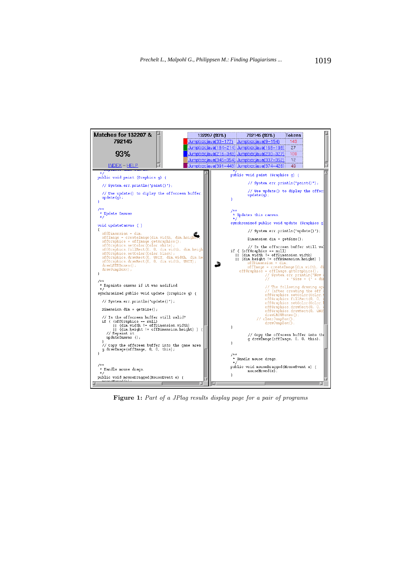| Matches for 132207 &                                                                                                                                                                                                                                                                                                                                            | 132207 (93%)         | 792145 (93%)                                                                                                                                                                                                    | Tokens                                                                                                                                |
|-----------------------------------------------------------------------------------------------------------------------------------------------------------------------------------------------------------------------------------------------------------------------------------------------------------------------------------------------------------------|----------------------|-----------------------------------------------------------------------------------------------------------------------------------------------------------------------------------------------------------------|---------------------------------------------------------------------------------------------------------------------------------------|
| 792145                                                                                                                                                                                                                                                                                                                                                          | Jumpbox.java(33–177) | Jumpbox.java(9-154)                                                                                                                                                                                             | 143                                                                                                                                   |
|                                                                                                                                                                                                                                                                                                                                                                 |                      | Jumpbox.java(184–214) Jumpbox.java(168–198)                                                                                                                                                                     | 27                                                                                                                                    |
| 93%                                                                                                                                                                                                                                                                                                                                                             |                      | <u>Jumpbox.java(216–343) Jumpbox.java(200–327)</u>                                                                                                                                                              | 109                                                                                                                                   |
| INDEX - HELP                                                                                                                                                                                                                                                                                                                                                    |                      | Jumpbox.java(345–354) Jumpbox.java(337–352)<br>:Jumpbox.java(391–443):Jumpbox.java(374–426);                                                                                                                    | 12<br>49                                                                                                                              |
| $\star$ /                                                                                                                                                                                                                                                                                                                                                       |                      |                                                                                                                                                                                                                 |                                                                                                                                       |
| public void paint (Graphics q) {                                                                                                                                                                                                                                                                                                                                |                      | public void paint (Graphics q) {                                                                                                                                                                                |                                                                                                                                       |
| // System.err.println("paint()");                                                                                                                                                                                                                                                                                                                               |                      | // System.err.println("paint()");                                                                                                                                                                               |                                                                                                                                       |
| // Use update() to diplay the offscreen buffer.<br>$update(q)$ ;                                                                                                                                                                                                                                                                                                |                      | $update(q)$ ;                                                                                                                                                                                                   | // Use update() to diplay the offsc!                                                                                                  |
| Update Canvas                                                                                                                                                                                                                                                                                                                                                   |                      | $7 + +$<br>* Updates this canvas.                                                                                                                                                                               |                                                                                                                                       |
| void updateCanvas ()                                                                                                                                                                                                                                                                                                                                            |                      | synchronized public void update (Graphics q]                                                                                                                                                                    |                                                                                                                                       |
| offDimension = dim;                                                                                                                                                                                                                                                                                                                                             |                      |                                                                                                                                                                                                                 | // System.err.println("update()");                                                                                                    |
| offImage = createImage(dim.width, dim.height)<br>offGraphics = offImage.getGraphics();<br>offGraphics.setColor(Color.white);<br>offGraphics.fillRect(0, 0, dim.width, dim.heigh<br>offGraphics.setColor(Color.black);<br>offGraphics.drawRect(0, UNIT, dim.width, dim.he;<br>offGraphics.drawRect(0, 0, dim.width, UNIT);<br>drawLRTBBoxes();<br>drawJumpBox(); |                      | Dimension $dim = qetsize()$ ;<br>if ( (offGraphics == null)<br>   (dim.width != offDimension.width)<br>   (dim.height != offDimension.height) )<br>offDimension = dim;<br>offGraphics = offImage.getGraphics(); | // Is the offscreen buffer still val<br>offImage = createImage(dim.width, di<br>// System.err.println("New<br>$+$ "Size = $($ " + dir |
| * Repaints canvas if it was modified                                                                                                                                                                                                                                                                                                                            |                      |                                                                                                                                                                                                                 | // The following drawing ope                                                                                                          |
| synchronized public void update (Graphics q) {<br>// System.err.println("update()");                                                                                                                                                                                                                                                                            |                      |                                                                                                                                                                                                                 | // (after creating the off<br>offGraphics.setColor(Color.<br>offGraphics.fillRect(0, 0,                                               |
| Dimension dim = $qetsize()$ ;                                                                                                                                                                                                                                                                                                                                   |                      |                                                                                                                                                                                                                 | offGraphics.setColor(Color.)<br>offGraphics.drawRect(0, 0,<br>offGraphics.drawRect(0, UNI)                                            |
| // Is the offscreen buffer still valid?<br>if ( (offGraphics == null)<br>   (dim.width != offDimension.width)<br>   (dim.height != offDimension.height) ) {                                                                                                                                                                                                     |                      | drawLROUBoxes();<br>// clearJumpBox();<br>$drawJumpBox()$ ;<br>ł.                                                                                                                                               |                                                                                                                                       |
| // Repaint it<br>updateCanvas ();                                                                                                                                                                                                                                                                                                                               |                      |                                                                                                                                                                                                                 | // Copy the offsreen buffer into the<br>q.drawImaqe(offImaqe, 0, 0, this);                                                            |
| // Copy the offsreen buffer into the game area<br>q.drawİmaqe(offImaqe, 0, 0, this);                                                                                                                                                                                                                                                                            |                      |                                                                                                                                                                                                                 |                                                                                                                                       |
|                                                                                                                                                                                                                                                                                                                                                                 |                      | $1 + +$<br>* Handle mouse drags.                                                                                                                                                                                |                                                                                                                                       |
| $1 + +$                                                                                                                                                                                                                                                                                                                                                         |                      | public void mouseDragged(MouseEvent e) {                                                                                                                                                                        |                                                                                                                                       |
| * Handle mouse drags.<br>$^{\ast}$ /                                                                                                                                                                                                                                                                                                                            |                      | mouseMoved(e);                                                                                                                                                                                                  |                                                                                                                                       |
| public void mouseDraqqed(MouseEvent e) {<br><u>. An bound form</u>                                                                                                                                                                                                                                                                                              |                      |                                                                                                                                                                                                                 |                                                                                                                                       |
|                                                                                                                                                                                                                                                                                                                                                                 |                      |                                                                                                                                                                                                                 |                                                                                                                                       |

Figure 1: Part of a JPlag results display page for a pair of programs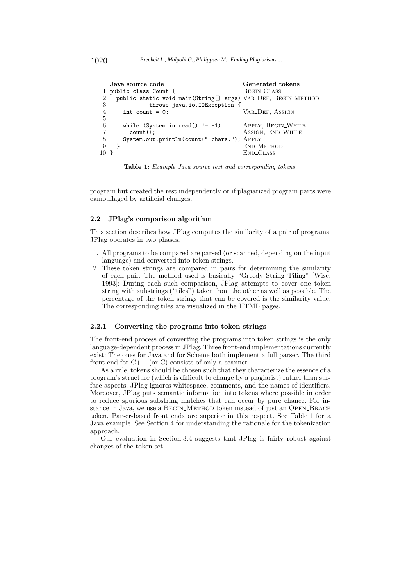```
Java source code Generated tokens
1 public class Count { BEGIN_CLASS<br>2 public static void main(String[] args) VAR_DEF, BE
     public static void main(String[] args) VAR_DEF, BEGIN_METHOD
3 throws java.io.IOException {<br>4 int count = 0:
                                             VAR_DEF, Assign
\frac{5}{6}6 while (System.in.read() != -1) APPLY, BEGIN_WHILE 7 count++; ASSIGN, END_WHILE
                                             ASSIGN, END WHILE
8 System.out.println(count+" chars."); Apply
9 }<br>10 }<br>END_CLASS
                                            END_CLASS
```
**Table 1:** Example Java source text and corresponding tokens.

program but created the rest independently or if plagiarized program parts were camouflaged by artificial changes.

#### **2.2 JPlag's comparison algorithm**

This section describes how JPlag computes the similarity of a pair of programs. JPlag operates in two phases:

- 1. All programs to be compared are parsed (or scanned, depending on the input language) and converted into token strings.
- 2. These token strings are compared in pairs for determining the similarity of each pair. The method used is basically "Greedy String Tiling" [Wise, 1993]: During each such comparison, JPlag attempts to cover one token string with substrings ("tiles") taken from the other as well as possible. The percentage of the token strings that can be covered is the similarity value. The corresponding tiles are visualized in the HTML pages.

#### **2.2.1 Converting the programs into token strings**

The front-end process of converting the programs into token strings is the only language-dependent process in JPlag. Three front-end implementations currently exist: The ones for Java and for Scheme both implement a full parser. The third front-end for  $C++$  (or C) consists of only a scanner.

As a rule, tokens should be chosen such that they characterize the essence of a program's structure (which is difficult to change by a plagiarist) rather than surface aspects. JPlag ignores whitespace, comments, and the names of identifiers. Moreover, JPlag puts semantic information into tokens where possible in order to reduce spurious substring matches that can occur by pure chance. For instance in Java, we use a Begin Method token instead of just an Open Brace token. Parser-based front ends are superior in this respect. See Table 1 for a Java example. See Section 4 for understanding the rationale for the tokenization approach.

Our evaluation in Section 3.4 suggests that JPlag is fairly robust against changes of the token set.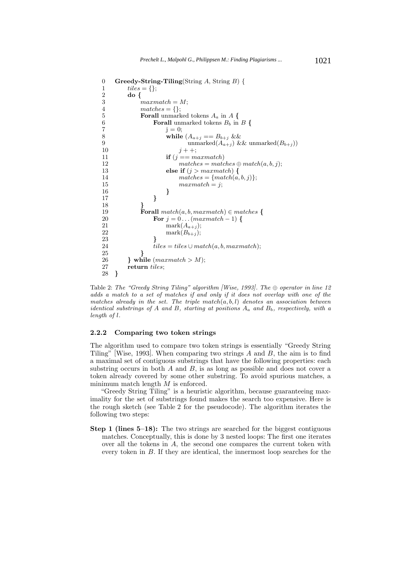```
0 Greedy-String-Tiling(String A, String B) {<br>1 tiles = {};
1 tiles = \{\};<br>2 do \{\begin{array}{ccc} 2 & \text{do } \{ \\ 3 & \text{if } \\ \end{array}maxmatch = M;4 matches = \{\};5 Forall unmarked tokens A_a in A {<br>Forall unmarked tokens B_b in
6 Forall unmarked tokens B_b in B {<br>\mathbf{i} = 0:
                          j = 0;8 while (A_{a+j}) = B_{b+j} \&8<br>9 while (A_{a+j}) = B_{b+j} \&89 unmarked(A_{a+j}) && unmarked(B_{b+j}))<br>10 j + +;
                               j + +;
11 if (j == maxmatch)<br>12 matches = matc
12 \qquad \qquad \text{matches} = \text{matches} \oplus \text{match}(a, b, j);<br>13 \qquad \qquad \text{else if } (i > \text{marmatch}) \{13 else if (j > maxmatch) {<br>14 matches = {match(a.
14 \begin{aligned} \textit{matches} = \{match(a, b, j)\}; \\ \textit{marmatch} = i \end{aligned}maxmatch = j;16 }
17 }
18 }
19 Forall match(a, b, maxmatch) \in matches \{<br>20 For i = 0 \dots (maxmatch - 1) {
20 For j = 0... (maxmatch − 1) {<br>21 mark(A_{a+i});
21 mark(A_{a+j});<br>22 mark(B_{b+j});22 mark(B_{b+j});<br>23 }
23 }
24 tiles = tiles \cup match(a, b, maxmatch);<br>25 }
25 }
26 } while (maxmatch > M);
27 return tiles;
28 }
```
Table 2: The "Greedy String Tiling" algorithm [Wise, 1993]. The  $\oplus$  operator in line 12 adds a match to a set of matches if and only if it does not overlap with one of the matches already in the set. The triple *match*(*a, b, l*) denotes an association between identical substrings of *A* and *B*, starting at positions *A<sup>a</sup>* and *Bb*, respectively, with a length of *l*.

#### **2.2.2 Comparing two token strings**

The algorithm used to compare two token strings is essentially "Greedy String Tiling" [Wise, 1993]. When comparing two strings A and B, the aim is to find a maximal set of contiguous substrings that have the following properties: each substring occurs in both  $A$  and  $B$ , is as long as possible and does not cover a token already covered by some other substring. To avoid spurious matches, a minimum match length  $M$  is enforced.

"Greedy String Tiling" is a heuristic algorithm, because guaranteeing maximality for the set of substrings found makes the search too expensive. Here is the rough sketch (see Table 2 for the pseudocode). The algorithm iterates the following two steps:

**Step 1 (lines 5–18):** The two strings are searched for the biggest contiguous matches. Conceptually, this is done by 3 nested loops: The first one iterates over all the tokens in A, the second one compares the current token with every token in B. If they are identical, the innermost loop searches for the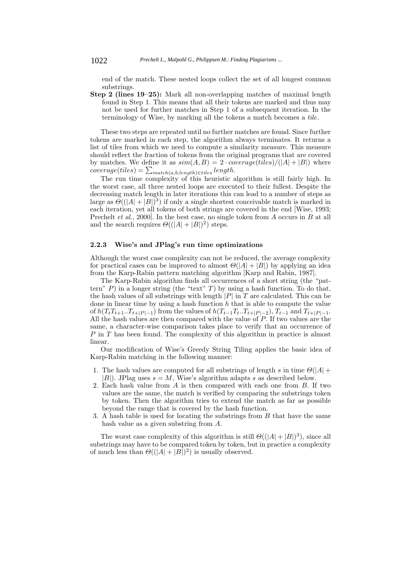end of the match. These nested loops collect the set of all longest common substrings.

**Step 2 (lines 19–25):** Mark all non-overlapping matches of maximal length found in Step 1. This means that all their tokens are marked and thus may not be used for further matches in Step 1 of a subsequent iteration. In the terminology of Wise, by marking all the tokens a match becomes a *tile*.

These two steps are repeated until no further matches are found. Since further tokens are marked in each step, the algorithm always terminates. It returns a list of tiles from which we need to compute a similarity measure. This measure should reflect the fraction of tokens from the original programs that are covered by matches. We define it as  $sim(A, B) = 2 \cdot coverage(tiles)/(|A| + |B|)$  where  $coverage (tiles) = \sum_{match(a,b,length) \in tiles} length.$ <br>The run time complexity of this heuristic s

The run time complexity of this heuristic algorithm is still fairly high. In the worst case, all three nested loops are executed to their fullest. Despite the decreasing match length in later iterations this can lead to a number of steps as large as  $\tilde{\Theta}((|A|+|B|)^3)$  if only a single shortest conceivable match is marked in each iteration, yet all tokens of both strings are covered in the end [Wise, 1993; Prechelt *et al.*, 2000]. In the best case, no single token from A occurs in B at all and the search requires  $\Theta((|A|+|B|)^2)$  steps.

## **2.2.3 Wise's and JPlag's run time optimizations**

Although the worst case complexity can not be reduced, the average complexity for practical cases can be improved to almost  $\Theta(|A|+|B|)$  by applying an idea from the Karp-Rabin pattern matching algorithm [Karp and Rabin, 1987].

The Karp-Rabin algorithm finds all occurrences of a short string (the "pattern" P) in a longer string (the "text" T) by using a hash function. To do that, the hash values of all substrings with length  $|P|$  in T are calculated. This can be done in linear time by using a hash function  $h$  that is able to compute the value of  $h(T_tT_{t+1}...T_{t+|P|-1})$  from the values of  $h(T_{t-1}T_{t}...T_{t+|P|-2}), T_{t-1}$  and  $T_{t+|P|-1}$ .<br>All the hash values are then compared with the value of P. If two values are the All the hash values are then compared with the value of  $P$ . If two values are the same a character-wise comparison takes place to verify that an occurrence of same, a character-wise comparison takes place to verify that an occurrence of P in T has been found. The complexity of this algorithm in practice is almost linear.

Our modification of Wise's Greedy String Tiling applies the basic idea of Karp-Rabin matching in the following manner:

- 1. The hash values are computed for all substrings of length s in time  $\Theta(|A| + \Theta)$  $|B|$ ). JPlag uses  $s = M$ , Wise's algorithm adapts s as described below.
- 2. Each hash value from A is then compared with each one from B. If two values are the same, the match is verified by comparing the substrings token by token. Then the algorithm tries to extend the match as far as possible beyond the range that is covered by the hash function.
- 3. A hash table is used for locating the substrings from B that have the same hash value as a given substring from A.

The worst case complexity of this algorithm is still  $\Theta((|A|+|B|)^3)$ , since all substrings may have to be compared token by token, but in practice a complexity of much less than  $\Theta((|A|+|B|)^2)$  is usually observed.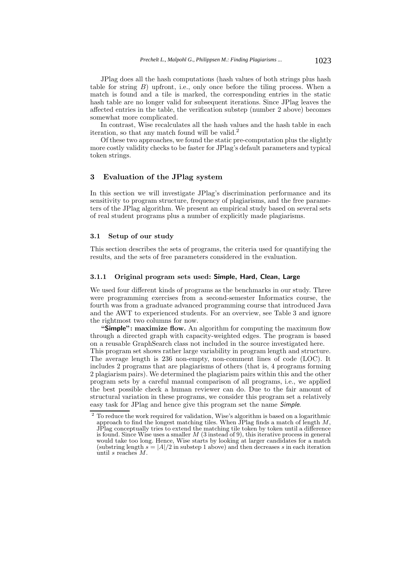JPlag does all the hash computations (hash values of both strings plus hash table for string  $B$ ) upfront, i.e., only once before the tiling process. When a match is found and a tile is marked, the corresponding entries in the static hash table are no longer valid for subsequent iterations. Since JPlag leaves the affected entries in the table, the verification substep (number 2 above) becomes somewhat more complicated.

In contrast, Wise recalculates all the hash values and the hash table in each iteration, so that any match found will be valid.<sup>2</sup>

Of these two approaches, we found the static pre-computation plus the slightly more costly validity checks to be faster for JPlag's default parameters and typical token strings.

## **3 Evaluation of the JPlag system**

In this section we will investigate JPlag's discrimination performance and its sensitivity to program structure, frequency of plagiarisms, and the free parameters of the JPlag algorithm. We present an empirical study based on several sets of real student programs plus a number of explicitly made plagiarisms.

# **3.1 Setup of our study**

This section describes the sets of programs, the criteria used for quantifying the results, and the sets of free parameters considered in the evaluation.

## **3.1.1 Original program sets used: Simple, Hard, Clean, Large**

We used four different kinds of programs as the benchmarks in our study. Three were programming exercises from a second-semester Informatics course, the fourth was from a graduate advanced programming course that introduced Java and the AWT to experienced students. For an overview, see Table 3 and ignore the rightmost two columns for now.

**"Simple": maximize flow.** An algorithm for computing the maximum flow through a directed graph with capacity-weighted edges. The program is based on a reusable GraphSearch class not included in the source investigated here. This program set shows rather large variability in program length and structure. The average length is 236 non-empty, non-comment lines of code (LOC). It includes 2 programs that are plagiarisms of others (that is, 4 programs forming 2 plagiarism pairs). We determined the plagiarism pairs within this and the other program sets by a careful manual comparison of all programs, i.e., we applied the best possible check a human reviewer can do. Due to the fair amount of structural variation in these programs, we consider this program set a relatively easy task for JPlag and hence give this program set the name *Simple*.

 $^2$  To reduce the work required for validation, Wise's algorithm is based on a logarithmic approach to find the longest matching tiles. When JPlag finds a match of length  $M,$ JPlag conceptually tries to extend the matching tile token by token until a difference is found. Since Wise uses a smaller *M* (3 instead of 9), this iterative process in general would take too long. Hence, Wise starts by looking at larger candidates for a match (substring length  $s = |A|/2$  in substep 1 above) and then decreases s in each iteration until *s* reaches *M*.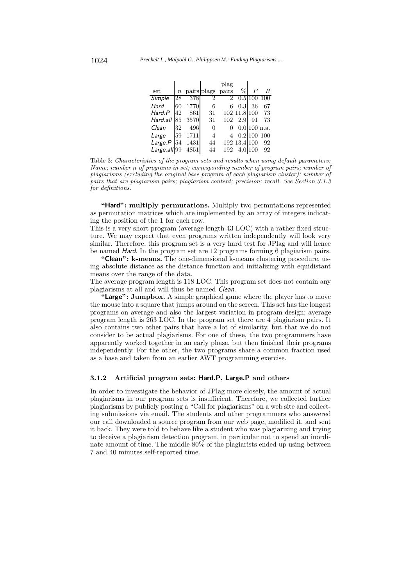| set          |    |      | $n$ pairs plags pairs |                | %                | $\boldsymbol{P}$ | $_{R}$         |
|--------------|----|------|-----------------------|----------------|------------------|------------------|----------------|
| Simple       | 28 | 378  | $\overline{2}$        | $\overline{2}$ |                  |                  | $0.5 100\ 100$ |
| Hard         | 60 | 1770 | 6                     | 6              | 0.3 <sub>l</sub> | 36               | 67             |
| Hard.P       | 42 | 861  | 31                    |                | 102 11.8 100     |                  | 73             |
| Hard all 85  |    | 3570 | 31                    | 102            | 2.9              | 91               | 73             |
| Clean        | 32 | 496  | $\overline{0}$        | 0              |                  | $0.0$ 100 n.a.   |                |
| Large        | 59 | 1711 | $\overline{4}$        | 4              |                  | 0.2 100          | 100            |
| Large.P      | 54 | 1431 | 44                    |                | 192 13.4 100     |                  | 92             |
| Large all 99 |    | 4851 | 44                    | 192            |                  | 4.0 100          | 92             |

Table 3: Characteristics of the program sets and results when using default parameters: Name; number *n* of programs in set; corresponding number of program pairs; number of plagiarisms (excluding the original base program of each plagiarism cluster); number of pairs that are plagiarism pairs; plagiarism content; precision; recall. See Section 3.1.3 for definitions.

**"Hard": multiply permutations.** Multiply two permutations represented as permutation matrices which are implemented by an array of integers indicating the position of the 1 for each row.

This is a very short program (average length 43 LOC) with a rather fixed structure. We may expect that even programs written independently will look very similar. Therefore, this program set is a very hard test for JPlag and will hence be named *Hard*. In the program set are 12 programs forming 6 plagiarism pairs.

**"Clean": k-means.** The one-dimensional k-means clustering procedure, using absolute distance as the distance function and initializing with equidistant means over the range of the data.

The average program length is 118 LOC. This program set does not contain any plagiarisms at all and will thus be named *Clean*.

**"Large": Jumpbox.** A simple graphical game where the player has to move the mouse into a square that jumps around on the screen. This set has the longest programs on average and also the largest variation in program design; average program length is 263 LOC. In the program set there are 4 plagiarism pairs. It also contains two other pairs that have a lot of similarity, but that we do not consider to be actual plagiarisms. For one of these, the two programmers have apparently worked together in an early phase, but then finished their programs independently. For the other, the two programs share a common fraction used as a base and taken from an earlier AWT programming exercise.

### **3.1.2 Artificial program sets: Hard.P, Large.P and others**

In order to investigate the behavior of JPlag more closely, the amount of actual plagiarisms in our program sets is insufficient. Therefore, we collected further plagiarisms by publicly posting a "Call for plagiarisms" on a web site and collecting submissions via email. The students and other programmers who answered our call downloaded a source program from our web page, modified it, and sent it back. They were told to behave like a student who was plagiarizing and trying to deceive a plagiarism detection program, in particular not to spend an inordinate amount of time. The middle 80% of the plagiarists ended up using between 7 and 40 minutes self-reported time.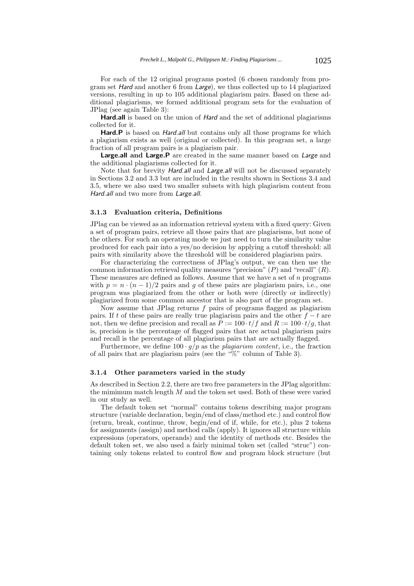For each of the 12 original programs posted (6 chosen randomly from program set *Hard* and another 6 from *Large*), we thus collected up to 14 plagiarized versions, resulting in up to 105 additional plagiarism pairs. Based on these additional plagiarisms, we formed additional program sets for the evaluation of JPlag (see again Table 3):

**Hard.all** is based on the union of *Hard* and the set of additional plagiarisms collected for it.

**Hard.P** is based on *Hard.all* but contains only all those programs for which a plagiarism exists as well (original or collected). In this program set, a large fraction of all program pairs is a plagiarism pair.

**Large.all and Large.P** are created in the same manner based on *Large* and the additional plagiarisms collected for it.

Note that for brevity *Hard.all* and *Large.all* will not be discussed separately in Sections 3.2 and 3.3 but are included in the results shown in Sections 3.4 and 3.5, where we also used two smaller subsets with high plagiarism content from *Hard.all* and two more from *Large.all*.

## **3.1.3 Evaluation criteria, Definitions**

JPlag can be viewed as an information retrieval system with a fixed query: Given a set of program pairs, retrieve all those pairs that are plagiarisms, but none of the others. For such an operating mode we just need to turn the similarity value produced for each pair into a yes/no decision by applying a cutoff threshold: all pairs with similarity above the threshold will be considered plagiarism pairs.

For characterizing the correctness of JPlag's output, we can then use the common information retrieval quality measures "precision"  $(P)$  and "recall"  $(R)$ . These measures are defined as follows. Assume that we have a set of n programs with  $p = n \cdot (n-1)/2$  pairs and g of these pairs are plagiarism pairs, i.e., one program was plagiarized from the other or both were (directly or indirectly) plagiarized from some common ancestor that is also part of the program set.

Now assume that JPlag returns  $f$  pairs of programs flagged as plagiarism pairs. If t of these pairs are really true plagiarism pairs and the other  $f - t$  are not, then we define precision and recall as  $\tilde{P} := 100 \cdot t/f$  and  $R := 100 \cdot t/g$ , that is, precision is the percentage of flagged pairs that are actual plagiarism pairs and recall is the percentage of all plagiarism pairs that are actually flagged.

Furthermore, we define  $100 \cdot g/p$  as the *plagiarism content*, i.e., the fraction of all pairs that are plagiarism pairs (see the "%" column of Table 3).

## **3.1.4 Other parameters varied in the study**

As described in Section 2.2, there are two free parameters in the JPlag algorithm: the mimimum match length  $M$  and the token set used. Both of these were varied in our study as well.

The default token set "normal" contains tokens describing major program structure (variable declaration, begin/end of class/method etc.) and control flow (return, break, continue, throw, begin/end of if, while, for etc.), plus 2 tokens for assignments (assign) and method calls (apply). It ignores all structure within expressions (operators, operands) and the identity of methods etc. Besides the default token set, we also used a fairly minimal token set (called "struc") containing only tokens related to control flow and program block structure (but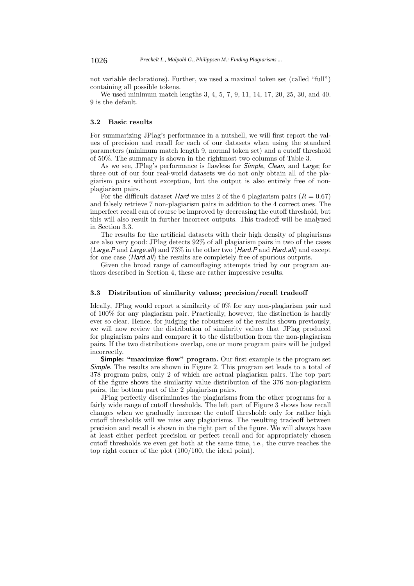not variable declarations). Further, we used a maximal token set (called "full") containing all possible tokens.

We used minimum match lengths 3, 4, 5, 7, 9, 11, 14, 17, 20, 25, 30, and 40. 9 is the default.

### **3.2 Basic results**

For summarizing JPlag's performance in a nutshell, we will first report the values of precision and recall for each of our datasets when using the standard parameters (minimum match length 9, normal token set) and a cutoff threshold of 50%. The summary is shown in the rightmost two columns of Table 3.

As we see, JPlag's performance is flawless for *Simple*, *Clean*, and *Large*; for three out of our four real-world datasets we do not only obtain all of the plagiarism pairs without exception, but the output is also entirely free of nonplagiarism pairs.

For the difficult dataset *Hard* we miss 2 of the 6 plagiarism pairs  $(R = 0.67)$ and falsely retrieve 7 non-plagiarism pairs in addition to the 4 correct ones. The imperfect recall can of course be improved by decreasing the cutoff threshold, but this will also result in further incorrect outputs. This tradeoff will be analyzed in Section 3.3.

The results for the artificial datasets with their high density of plagiarisms are also very good: JPlag detects 92% of all plagiarism pairs in two of the cases (*Large.P* and *Large.all*) and 73% in the other two (*Hard.P* and *Hard.all*) and except for one case (*Hard.all*) the results are completely free of spurious outputs.

Given the broad range of camouflaging attempts tried by our program authors described in Section 4, these are rather impressive results.

### **3.3 Distribution of similarity values; precision/recall tradeoff**

Ideally, JPlag would report a similarity of 0% for any non-plagiarism pair and of 100% for any plagiarism pair. Practically, however, the distinction is hardly ever so clear. Hence, for judging the robustness of the results shown previously, we will now review the distribution of similarity values that JPlag produced for plagiarism pairs and compare it to the distribution from the non-plagiarism pairs. If the two distributions overlap, one or more program pairs will be judged incorrectly.

**Simple: "maximize flow" program.** Our first example is the program set *Simple*. The results are shown in Figure 2. This program set leads to a total of 378 program pairs, only 2 of which are actual plagiarism pairs. The top part of the figure shows the similarity value distribution of the 376 non-plagiarism pairs, the bottom part of the 2 plagiarism pairs.

JPlag perfectly discriminates the plagiarisms from the other programs for a fairly wide range of cutoff thresholds. The left part of Figure 3 shows how recall changes when we gradually increase the cutoff threshold: only for rather high cutoff thresholds will we miss any plagiarisms. The resulting tradeoff between precision and recall is shown in the right part of the figure. We will always have at least either perfect precision or perfect recall and for appropriately chosen cutoff thresholds we even get both at the same time, i.e., the curve reaches the top right corner of the plot (100/100, the ideal point).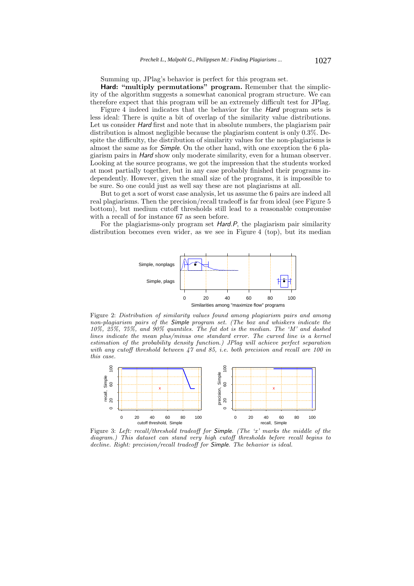Summing up, JPlag's behavior is perfect for this program set.

**Hard: "multiply permutations" program.** Remember that the simplicity of the algorithm suggests a somewhat canonical program structure. We can therefore expect that this program will be an extremely difficult test for JPlag.

Figure 4 indeed indicates that the behavior for the *Hard* program sets is less ideal: There is quite a bit of overlap of the similarity value distributions. Let us consider *Hard* first and note that in absolute numbers, the plagiarism pair distribution is almost negligible because the plagiarism content is only 0.3%. Despite the difficulty, the distribution of similarity values for the non-plagiarisms is almost the same as for *Simple*. On the other hand, with one exception the 6 plagiarism pairs in *Hard* show only moderate similarity, even for a human observer. Looking at the source programs, we got the impression that the students worked at most partially together, but in any case probably finished their programs independently. However, given the small size of the programs, it is impossible to be sure. So one could just as well say these are not plagiarisms at all.

But to get a sort of worst case analysis, let us assume the 6 pairs are indeed all real plagiarisms. Then the precision/recall tradeoff is far from ideal (see Figure 5 bottom), but medium cutoff thresholds still lead to a reasonable compromise with a recall of for instance 67 as seen before.

For the plagiarisms-only program set *Hard.P*, the plagiarism pair similarity distribution becomes even wider, as we see in Figure 4 (top), but its median



Figure 2: Distribution of similarity values found among plagiarism pairs and among non-plagiarism pairs of the *Simple* program set. (The box and whiskers indicate the 10%, 25%, 75%, and 90% quantiles. The fat dot is the median. The 'M' and dashed lines indicate the mean plus/minus one standard error. The curved line is a kernel estimation of the probability density function.) JPlag will achieve perfect separation with any cutoff threshold between  $47$  and  $85$ , i.e. both precision and recall are 100 in this case.



Figure 3: Left: recall/threshold tradeoff for *Simple*. (The 'x' marks the middle of the diagram.) This dataset can stand very high cutoff thresholds before recall begins to decline. Right: precision/recall tradeoff for *Simple*. The behavior is ideal.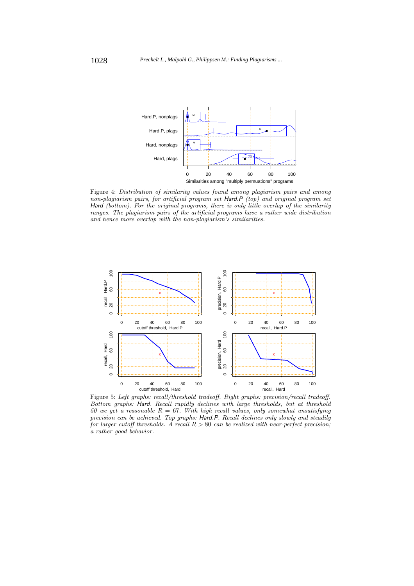

Figure 4: Distribution of similarity values found among plagiarism pairs and among non-plagiarism pairs, for artificial program set *Hard.P* (top) and original program set Hard (bottom). For the original programs, there is only little overlap of the similarity ranges. The plagiarism pairs of the artificial programs have a rather wide distribution and hence more overlap with the non-plagiarism's similarities.



Figure 5: Left graphs: recall/threshold tradeoff. Right graphs: precision/recall tradeoff. Bottom graphs: *Hard*. Recall rapidly declines with large thresholds, but at threshold 50 we get a reasonable  $R = 67$ . With high recall values, only somewhat unsatisfying precision can be achieved. Top graphs: *Hard.P*. Recall declines only slowly and steadily for larger cutoff thresholds. A recall  $R > 80$  can be realized with near-perfect precision; a rather good behavior.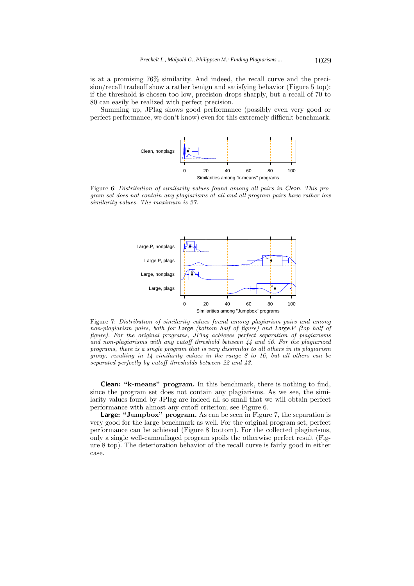is at a promising 76% similarity. And indeed, the recall curve and the precision/recall tradeoff show a rather benign and satisfying behavior (Figure 5 top): if the threshold is chosen too low, precision drops sharply, but a recall of 70 to 80 can easily be realized with perfect precision.

Summing up, JPlag shows good performance (possibly even very good or perfect performance, we don't know) even for this extremely difficult benchmark.



Figure 6: Distribution of similarity values found among all pairs in *Clean*. This program set does not contain any plagiarisms at all and all program pairs have rather low similarity values. The maximum is 27.



Figure 7: Distribution of similarity values found among plagiarism pairs and among non-plagiarism pairs, both for *Large* (bottom half of figure) and *Large.P* (top half of figure). For the original programs, JPlag achieves perfect separation of plagiarisms and non-plagiarisms with any cutoff threshold between 44 and 56. For the plagiarized programs, there is a single program that is very dissimilar to all others in its plagiarism group, resulting in 14 similarity values in the range 8 to 16, but all others can be separated perfectly by cutoff thresholds between 22 and 43.

**Clean: "k-means" program.** In this benchmark, there is nothing to find, since the program set does not contain any plagiarisms. As we see, the similarity values found by JPlag are indeed all so small that we will obtain perfect performance with almost any cutoff criterion; see Figure 6.

**Large: "Jumpbox" program.** As can be seen in Figure 7, the separation is very good for the large benchmark as well. For the original program set, perfect performance can be achieved (Figure 8 bottom). For the collected plagiarisms, only a single well-camouflaged program spoils the otherwise perfect result (Figure 8 top). The deterioration behavior of the recall curve is fairly good in either case.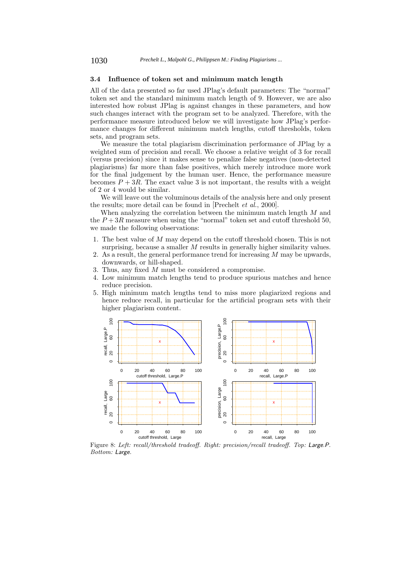## **3.4 Influence of token set and minimum match length**

All of the data presented so far used JPlag's default parameters: The "normal" token set and the standard minimum match length of 9. However, we are also interested how robust JPlag is against changes in these parameters, and how such changes interact with the program set to be analyzed. Therefore, with the performance measure introduced below we will investigate how JPlag's performance changes for different minimum match lengths, cutoff thresholds, token sets, and program sets.

We measure the total plagiarism discrimination performance of JPlag by a weighted sum of precision and recall. We choose a relative weight of 3 for recall (versus precision) since it makes sense to penalize false negatives (non-detected plagiarisms) far more than false positives, which merely introduce more work for the final judgement by the human user. Hence, the performance measure becomes  $P + 3R$ . The exact value 3 is not important, the results with a weight of 2 or 4 would be similar.

We will leave out the voluminous details of the analysis here and only present the results; more detail can be found in [Prechelt *et al.*, 2000].

When analyzing the correlation between the minimum match length M and the  $P+3R$  measure when using the "normal" token set and cutoff threshold 50, we made the following observations:

- 1. The best value of M may depend on the cutoff threshold chosen. This is not surprising, because a smaller  $M$  results in generally higher similarity values.
- 2. As a result, the general performance trend for increasing  $M$  may be upwards, downwards, or hill-shaped.
- 3. Thus, any fixed M must be considered a compromise.
- 4. Low minimum match lengths tend to produce spurious matches and hence reduce precision.
- 5. High minimum match lengths tend to miss more plagiarized regions and hence reduce recall, in particular for the artificial program sets with their higher plagiarism content.



Figure 8: Left: recall/threshold tradeoff. Right: precision/recall tradeoff. Top: *Large.P*. Bottom: *Large*.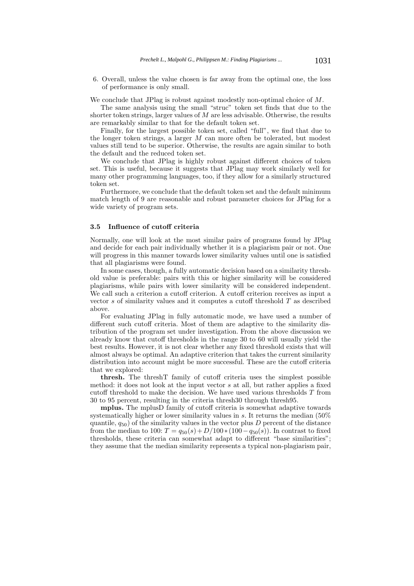6. Overall, unless the value chosen is far away from the optimal one, the loss of performance is only small.

We conclude that JPlag is robust against modestly non-optimal choice of  $M$ .

The same analysis using the small "struc" token set finds that due to the shorter token strings, larger values of  $M$  are less advisable. Otherwise, the results are remarkably similar to that for the default token set.

Finally, for the largest possible token set, called "full", we find that due to the longer token strings, a larger M can more often be tolerated, but modest values still tend to be superior. Otherwise, the results are again similar to both the default and the reduced token set.

We conclude that JPlag is highly robust against different choices of token set. This is useful, because it suggests that JPlag may work similarly well for many other programming languages, too, if they allow for a similarly structured token set.

Furthermore, we conclude that the default token set and the default minimum match length of 9 are reasonable and robust parameter choices for JPlag for a wide variety of program sets.

## **3.5 Influence of cutoff criteria**

Normally, one will look at the most similar pairs of programs found by JPlag and decide for each pair individually whether it is a plagiarism pair or not. One will progress in this manner towards lower similarity values until one is satisfied that all plagiarisms were found.

In some cases, though, a fully automatic decision based on a similarity threshold value is preferable: pairs with this or higher similarity will be considered plagiarisms, while pairs with lower similarity will be considered independent. We call such a criterion a cutoff criterion. A cutoff criterion receives as input a vector s of similarity values and it computes a cutoff threshold T as described above.

For evaluating JPlag in fully automatic mode, we have used a number of different such cutoff criteria. Most of them are adaptive to the similarity distribution of the program set under investigation. From the above discussion we already know that cutoff thresholds in the range 30 to 60 will usually yield the best results. However, it is not clear whether any fixed threshold exists that will almost always be optimal. An adaptive criterion that takes the current similarity distribution into account might be more successful. These are the cutoff criteria that we explored:

**thresh.** The threshT family of cutoff criteria uses the simplest possible method: it does not look at the input vector s at all, but rather applies a fixed cutoff threshold to make the decision. We have used various thresholds T from 30 to 95 percent, resulting in the criteria thresh30 through thresh95.

**mplus.** The mplusD family of cutoff criteria is somewhat adaptive towards systematically higher or lower similarity values in s. It returns the median (50% quantile,  $q_{50}$ ) of the similarity values in the vector plus D percent of the distance from the median to 100:  $T = q_{50}(s) + D/100 * (100 - q_{50}(s))$ . In contrast to fixed thresholds, these criteria can somewhat adapt to different "base similarities"; they assume that the median similarity represents a typical non-plagiarism pair,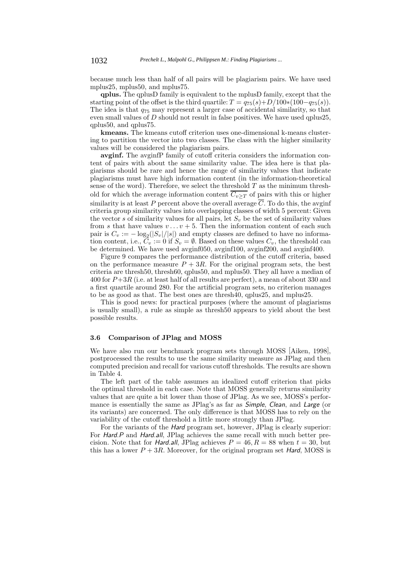because much less than half of all pairs will be plagiarism pairs. We have used mplus25, mplus50, and mplus75.

**qplus.** The qplusD family is equivalent to the mplusD family, except that the starting point of the offset is the third quartile:  $T = q_{75}(s) + D/100*(100-q_{75}(s)).$ The idea is that <sup>q</sup><sup>75</sup> may represent a larger case of accidental similarity, so that even small values of D should not result in false positives. We have used qplus25, qplus50, and qplus75.

**kmeans.** The kmeans cutoff criterion uses one-dimensional k-means clustering to partition the vector into two classes. The class with the higher similarity values will be considered the plagiarism pairs.

**avginf.** The avginfP family of cutoff criteria considers the information content of pairs with about the same similarity value. The idea here is that plagiarisms should be rare and hence the range of similarity values that indicate plagiarisms must have high information content (in the information-theoretical sense of the word). Therefore, we select the threshold  $T$  as the minimum threshold for which the average information content  $\overline{C_{v\geq T}}$  of pairs with this or higher similarity is at least P percent above the overall average  $\overline{C}$ . To do this, the avginf criteria group similarity values into overlapping classes of width 5 percent: Given the vector s of similarity values for all pairs, let  $S<sub>v</sub>$  be the set of similarity values from s that have values  $v \dots v + 5$ . Then the information content of each such pair is  $C_v := -\log_2(|S_v|/|s|)$  and empty classes are defined to have no information content i.e.  $C_v := 0$  if  $S_v = \emptyset$ . Based on these values  $C_v$ , the threshold can tion content, i.e.,  $C_v := 0$  if  $S_v = \emptyset$ . Based on these values  $C_v$ , the threshold can<br>be determined. We have used avginf050, avginf100, avginf200, and avginf400 be determined. We have used avginf050, avginf100, avginf200, and avginf400.

Figure 9 compares the performance distribution of the cutoff criteria, based on the performance measure  $P + 3R$ . For the original program sets, the best criteria are thresh50, thresh60, qplus50, and mplus50. They all have a median of 400 for  $P+3R$  (i.e. at least half of all results are perfect), a mean of about 330 and a first quartile around 280. For the artificial program sets, no criterion manages to be as good as that. The best ones are thresh40, qplus25, and mplus25.

This is good news: for practical purposes (where the amount of plagiarisms is usually small), a rule as simple as thresh50 appears to yield about the best possible results.

## **3.6 Comparison of JPlag and MOSS**

We have also run our benchmark program sets through MOSS [Aiken, 1998], postprocessed the results to use the same similarity measure as JPlag and then computed precision and recall for various cutoff thresholds. The results are shown in Table 4.

The left part of the table assumes an idealized cutoff criterion that picks the optimal threshold in each case. Note that MOSS generally returns similarity values that are quite a bit lower than those of JPlag. As we see, MOSS's performance is essentially the same as JPlag's as far as *Simple*, *Clean*, and *Large* (or its variants) are concerned. The only difference is that MOSS has to rely on the variability of the cutoff threshold a little more strongly than JPlag.

For the variants of the *Hard* program set, however, JPlag is clearly superior: For *Hard.P* and *Hard.all*, JPlag achieves the same recall with much better precision. Note that for *Hard.all*, JPlag achieves  $P = 46, R = 88$  when  $t = 30$ , but this has a lower  $P + 3R$ . Moreover, for the original program set *Hard*, MOSS is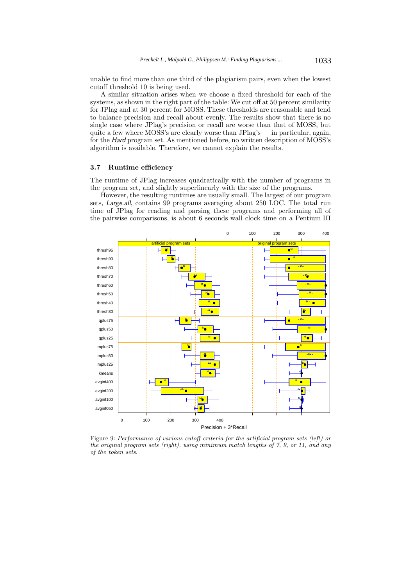unable to find more than one third of the plagiarism pairs, even when the lowest cutoff threshold 10 is being used.

A similar situation arises when we choose a fixed threshold for each of the systems, as shown in the right part of the table: We cut off at 50 percent similarity for JPlag and at 30 percent for MOSS. These thresholds are reasonable and tend to balance precision and recall about evenly. The results show that there is no single case where JPlag's precision or recall are worse than that of MOSS, but quite a few where MOSS's are clearly worse than JPlag's — in particular, again, for the *Hard* program set. As mentioned before, no written description of MOSS's algorithm is available. Therefore, we cannot explain the results.

#### **3.7 Runtime efficiency**

The runtime of JPlag increases quadratically with the number of programs in the program set, and slightly superlinearly with the size of the programs.

However, the resulting runtimes are usually small. The largest of our program sets, *Large.all*, contains 99 programs averaging about 250 LOC. The total run time of JPlag for reading and parsing these programs and performing all of the pairwise comparisons, is about 6 seconds wall clock time on a Pentium III



Figure 9: Performance of various cutoff criteria for the artificial program sets (left) or the original program sets (right), using minimum match lengths of 7, 9, or 11, and any of the token sets.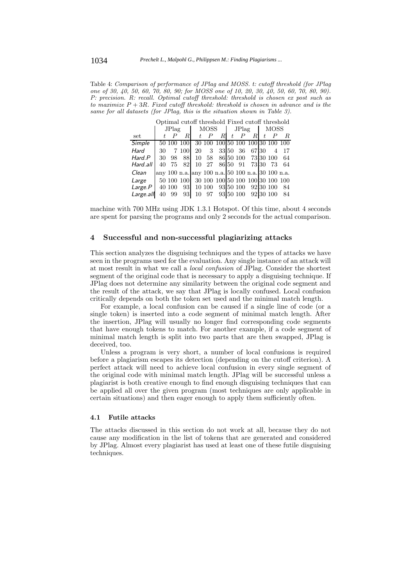Table 4: Comparison of performance of JPlag and MOSS. t: cutoff threshold (for JPlag one of 30, 40, 50, 60, 70, 80, 90; for MOSS one of 10, 20, 30, 40, 50, 60, 70, 80, 90). P: precision. R: recall. Optimal cutoff threshold: threshold is chosen ex post such as to maximize  $P + 3R$ . Fixed cutoff threshold: threshold is chosen in advance and is the same for all datasets (for JPlag, this is the situation shown in Table 3).

| Optimal cutoff threshold Fixed cutoff threshold |       |                  |            |    |         |                                  |       |                  |                     |    |           |                                                   |
|-------------------------------------------------|-------|------------------|------------|----|---------|----------------------------------|-------|------------------|---------------------|----|-----------|---------------------------------------------------|
|                                                 | JPIag |                  | MOSS       |    | JPlag   |                                  |       | <b>MOSS</b>      |                     |    |           |                                                   |
| set                                             |       | $\boldsymbol{P}$ | R          |    | $t$ $P$ | R.                               | t     | $\boldsymbol{P}$ | RI.                 | t. |           | R.                                                |
| Simple                                          |       | 50 100           | 100        |    |         |                                  |       |                  |                     |    |           | 30 100 100 50 100 100 30 100 100                  |
| Hard                                            | 30    |                  | 7 100      | 20 | 3       |                                  | 33 50 | 36               | 67 30               |    | 4         | 17                                                |
| Hard.P                                          | 30    | 98               | 881        | 10 | 58      |                                  |       |                  | 86 50 100 73 30 100 |    |           | 64                                                |
| Hard.all                                        | 40    | 75               | 82.        |    |         | 10 27 86 50 91 73 30             |       |                  |                     |    | -73       | 64                                                |
| Clean                                           |       |                  |            |    |         |                                  |       |                  |                     |    |           | any 100 n.a. any 100 n.a. 50 100 n.a. 30 100 n.a. |
| Large                                           |       |                  | 50 100 100 |    |         | 30 100 100 50 100 100 30 100 100 |       |                  |                     |    |           |                                                   |
| Large P                                         |       | 40 100           | 931        |    | 10 100  |                                  |       | 93 50 100        |                     |    | 92 30 100 | 84                                                |
| Large.all                                       | 40    | 99               | 93         | 10 | -97     |                                  |       | 93 50 100        |                     |    | 92 30 100 | 84                                                |

machine with 700 MHz using JDK 1.3.1 Hotspot. Of this time, about 4 seconds are spent for parsing the programs and only 2 seconds for the actual comparison.

### **4 Successful and non-successful plagiarizing attacks**

This section analyzes the disguising techniques and the types of attacks we have seen in the programs used for the evaluation. Any single instance of an attack will at most result in what we call a *local confusion* of JPlag. Consider the shortest segment of the original code that is necessary to apply a disguising technique. If JPlag does not determine any similarity between the original code segment and the result of the attack, we say that JPlag is locally confused. Local confusion critically depends on both the token set used and the minimal match length.

For example, a local confusion can be caused if a single line of code (or a single token) is inserted into a code segment of minimal match length. After the insertion, JPlag will usually no longer find corresponding code segments that have enough tokens to match. For another example, if a code segment of minimal match length is split into two parts that are then swapped, JPlag is deceived, too.

Unless a program is very short, a number of local confusions is required before a plagiarism escapes its detection (depending on the cutoff criterion). A perfect attack will need to achieve local confusion in every single segment of the original code with minimal match length. JPlag will be successful unless a plagiarist is both creative enough to find enough disguising techniques that can be applied all over the given program (most techniques are only applicable in certain situations) and then eager enough to apply them sufficiently often.

#### **4.1 Futile attacks**

The attacks discussed in this section do not work at all, because they do not cause any modification in the list of tokens that are generated and considered by JPlag. Almost every plagiarist has used at least one of these futile disguising techniques.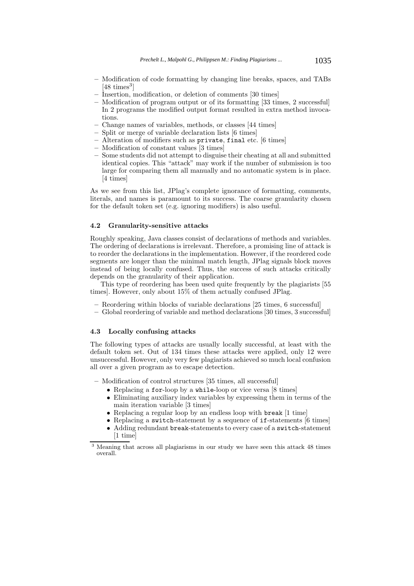- **–** Modification of code formatting by changing line breaks, spaces, and TABs  $[48 \text{ times}^3]$
- **–** Insertion, modification, or deletion of comments [30 times]
- **–** Modification of program output or of its formatting [33 times, 2 successful] In 2 programs the modified output format resulted in extra method invocations.
- **–** Change names of variables, methods, or classes [44 times]
- **–** Split or merge of variable declaration lists [6 times]
- **–** Alteration of modifiers such as private, final etc. [6 times]
- **–** Modification of constant values [3 times]
- **–** Some students did not attempt to disguise their cheating at all and submitted identical copies. This "attack" may work if the number of submission is too large for comparing them all manually and no automatic system is in place. [4 times]

As we see from this list, JPlag's complete ignorance of formatting, comments, literals, and names is paramount to its success. The coarse granularity chosen for the default token set (e.g. ignoring modifiers) is also useful.

## **4.2 Granularity-sensitive attacks**

Roughly speaking, Java classes consist of declarations of methods and variables. The ordering of declarations is irrelevant. Therefore, a promising line of attack is to reorder the declarations in the implementation. However, if the reordered code segments are longer than the minimal match length, JPlag signals block moves instead of being locally confused. Thus, the success of such attacks critically depends on the granularity of their application.

This type of reordering has been used quite frequently by the plagiarists [55 times]. However, only about 15% of them actually confused JPlag.

- **–** Reordering within blocks of variable declarations [25 times, 6 successful]
- **–** Global reordering of variable and method declarations [30 times, 3 successful]

### **4.3 Locally confusing attacks**

The following types of attacks are usually locally successful, at least with the default token set. Out of 134 times these attacks were applied, only 12 were unsuccessful. However, only very few plagiarists achieved so much local confusion all over a given program as to escape detection.

**–** Modification of control structures [35 times, all successful]

- Replacing a for-loop by a while-loop or vice versa [8 times]
- Eliminating auxiliary index variables by expressing them in terms of the main iteration variable [3 times]
- Replacing a regular loop by an endless loop with break [1 time]
- Replacing a switch-statement by a sequence of if-statements [6 times]
- Adding redundant break-statements to every case of a switch-statement [1 time]

<sup>3</sup> Meaning that across all plagiarisms in our study we have seen this attack 48 times overall.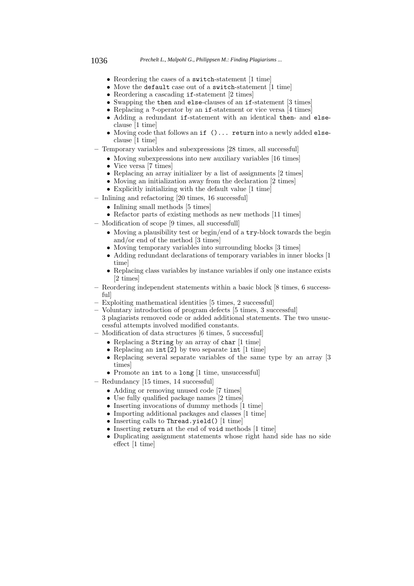#### 1036 *Prechelt L., Malpohl G., Philippsen M.: Finding Plagiarisms ...*

- Reordering the cases of a switch-statement [1 time]
- Move the default case out of a switch-statement [1 time]
- Reordering a cascading if-statement [2 times]
- Swapping the then and else-clauses of an if-statement [3 times]
- Replacing a ?-operator by an if-statement or vice versa [4 times]
- Adding a redundant if-statement with an identical then- and elseclause [1 time]
- Moving code that follows an if ()... return into a newly added elseclause [1 time]
- **–** Temporary variables and subexpressions [28 times, all successful]
	- Moving subexpressions into new auxiliary variables [16 times]
	- Vice versa [7 times]
	- Replacing an array initializer by a list of assignments [2 times]
	- Moving an initialization away from the declaration [2 times]
	- Explicitly initializing with the default value [1 time]
- **–** Inlining and refactoring [20 times, 16 successful]
	- Inlining small methods [5 times]
	- Refactor parts of existing methods as new methods [11 times]
- **–** Modification of scope [9 times, all successfull]
	- Moving a plausibility test or begin/end of a try-block towards the begin and/or end of the method [3 times]
	- Moving temporary variables into surrounding blocks [3 times]
	- Adding redundant declarations of temporary variables in inner blocks [1 time]
	- Replacing class variables by instance variables if only one instance exists [2 times]
- **–** Reordering independent statements within a basic block [8 times, 6 successful]
- **–** Exploiting mathematical identities [5 times, 2 successful]
- **–** Voluntary introduction of program defects [5 times, 3 successful] 3 plagiarists removed code or added additional statements. The two unsuccessful attempts involved modified constants.
- **–** Modification of data structures [6 times, 5 successful]
	- Replacing a String by an array of char [1 time]
	- Replacing an int[2] by two separate int [1 time]
	- Replacing several separate variables of the same type by an array [3 times]
	- Promote an int to a long [1 time, unsuccessful]
- **–** Redundancy [15 times, 14 successful]
	- Adding or removing unused code [7 times]
	- Use fully qualified package names [2 times]
	- Inserting invocations of dummy methods [1 time]
	- Importing additional packages and classes [1 time]
	- Inserting calls to Thread.yield() [1 time]
	- Inserting return at the end of void methods [1 time]
	- Duplicating assignment statements whose right hand side has no side effect [1 time]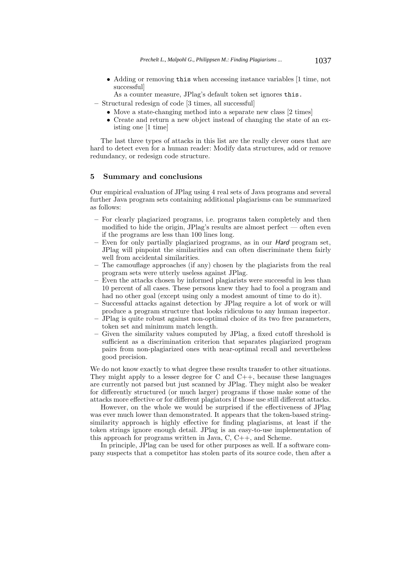• Adding or removing this when accessing instance variables [1 time, not successful]

As a counter measure, JPlag's default token set ignores this.

- **–** Structural redesign of code [3 times, all successful]
	- Move a state-changing method into a separate new class [2 times]
	- Create and return a new object instead of changing the state of an existing one [1 time]

The last three types of attacks in this list are the really clever ones that are hard to detect even for a human reader: Modify data structures, add or remove redundancy, or redesign code structure.

## **5 Summary and conclusions**

Our empirical evaluation of JPlag using 4 real sets of Java programs and several further Java program sets containing additional plagiarisms can be summarized as follows:

- **–** For clearly plagiarized programs, i.e. programs taken completely and then modified to hide the origin, JPlag's results are almost perfect — often even if the programs are less than 100 lines long.
- **–** Even for only partially plagiarized programs, as in our *Hard* program set, JPlag will pinpoint the similarities and can often discriminate them fairly well from accidental similarities.
- **–** The camouflage approaches (if any) chosen by the plagiarists from the real program sets were utterly useless against JPlag.
- **–** Even the attacks chosen by informed plagiarists were successful in less than 10 percent of all cases. These persons knew they had to fool a program and had no other goal (except using only a modest amount of time to do it).
- **–** Successful attacks against detection by JPlag require a lot of work or will produce a program structure that looks ridiculous to any human inspector.
- **–** JPlag is quite robust against non-optimal choice of its two free parameters, token set and minimum match length.
- **–** Given the similarity values computed by JPlag, a fixed cutoff threshold is sufficient as a discrimination criterion that separates plagiarized program pairs from non-plagiarized ones with near-optimal recall and nevertheless good precision.

We do not know exactly to what degree these results transfer to other situations. They might apply to a lesser degree for C and  $C_{++}$ , because these languages are currently not parsed but just scanned by JPlag. They might also be weaker for differently structured (or much larger) programs if those make some of the attacks more effective or for different plagiators if those use still different attacks.

However, on the whole we would be surprised if the effectiveness of JPlag was ever much lower than demonstrated. It appears that the token-based stringsimilarity approach is highly effective for finding plagiarisms, at least if the token strings ignore enough detail. JPlag is an easy-to-use implementation of this approach for programs written in Java, C, C++, and Scheme.

In principle, JPlag can be used for other purposes as well. If a software company suspects that a competitor has stolen parts of its source code, then after a